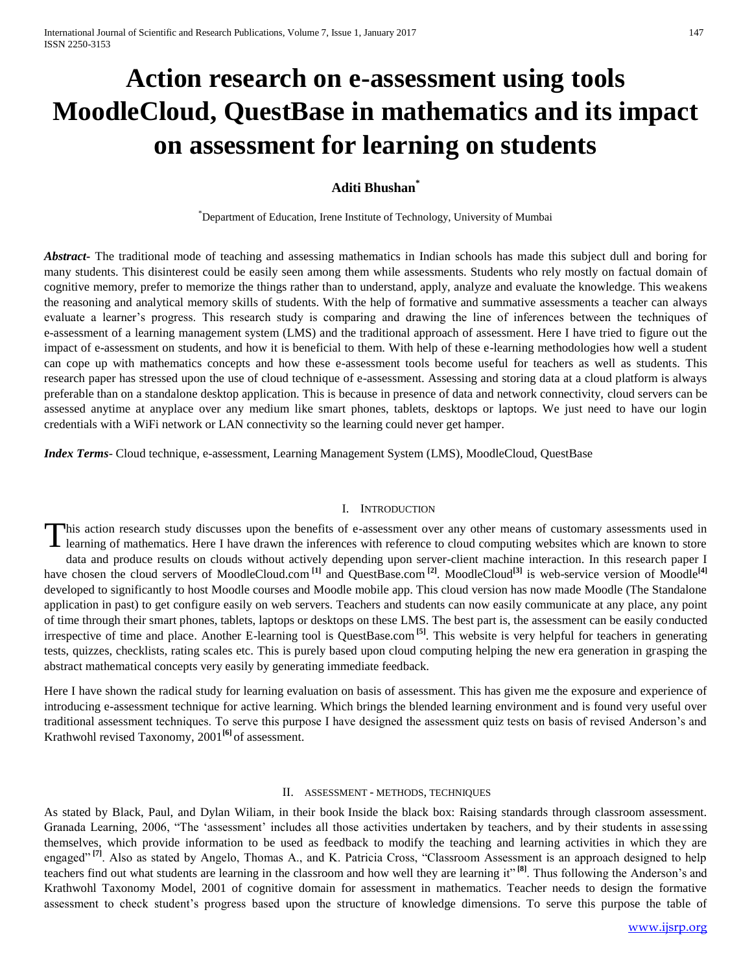# **Action research on e-assessment using tools MoodleCloud, QuestBase in mathematics and its impact on assessment for learning on students**

### **Aditi Bhushan\***

\*Department of Education, Irene Institute of Technology, University of Mumbai

*Abstract***-** The traditional mode of teaching and assessing mathematics in Indian schools has made this subject dull and boring for many students. This disinterest could be easily seen among them while assessments. Students who rely mostly on factual domain of cognitive memory, prefer to memorize the things rather than to understand, apply, analyze and evaluate the knowledge. This weakens the reasoning and analytical memory skills of students. With the help of formative and summative assessments a teacher can always evaluate a learner's progress. This research study is comparing and drawing the line of inferences between the techniques of e-assessment of a learning management system (LMS) and the traditional approach of assessment. Here I have tried to figure out the impact of e-assessment on students, and how it is beneficial to them. With help of these e-learning methodologies how well a student can cope up with mathematics concepts and how these e-assessment tools become useful for teachers as well as students. This research paper has stressed upon the use of cloud technique of e-assessment. Assessing and storing data at a cloud platform is always preferable than on a standalone desktop application. This is because in presence of data and network connectivity, cloud servers can be assessed anytime at anyplace over any medium like smart phones, tablets, desktops or laptops. We just need to have our login credentials with a WiFi network or LAN connectivity so the learning could never get hamper.

*Index Terms*- Cloud technique, e-assessment, Learning Management System (LMS), MoodleCloud, QuestBase

#### I. INTRODUCTION

This action research study discusses upon the benefits of e-assessment over any other means of customary assessments used in learning of mathematics. Here I have drawn the inferences with reference to cloud computing websi learning of mathematics. Here I have drawn the inferences with reference to cloud computing websites which are known to store data and produce results on clouds without actively depending upon server-client machine interaction. In this research paper I have chosen the cloud servers of MoodleCloud.com<sup>[1]</sup> and QuestBase.com<sup>[2]</sup>. MoodleCloud<sup>[3]</sup> is web-service version of Moodle<sup>[4]</sup> developed to significantly to host Moodle courses and Moodle mobile app. This cloud version has now made Moodle (The Standalone application in past) to get configure easily on web servers. Teachers and students can now easily communicate at any place, any point of time through their smart phones, tablets, laptops or desktops on these LMS. The best part is, the assessment can be easily conducted irrespective of time and place. Another E-learning tool is QuestBase.com **[5]**. This website is very helpful for teachers in generating tests, quizzes, checklists, rating scales etc. This is purely based upon cloud computing helping the new era generation in grasping the abstract mathematical concepts very easily by generating immediate feedback.

Here I have shown the radical study for learning evaluation on basis of assessment. This has given me the exposure and experience of introducing e-assessment technique for active learning. Which brings the blended learning environment and is found very useful over traditional assessment techniques. To serve this purpose I have designed the assessment quiz tests on basis of revised Anderson's and Krathwohl revised Taxonomy, 2001**[6]** of assessment.

#### II. ASSESSMENT - METHODS, TECHNIQUES

As stated by Black, Paul, and Dylan Wiliam, in their book Inside the black box: Raising standards through classroom assessment. Granada Learning, 2006, "The 'assessment' includes all those activities undertaken by teachers, and by their students in assessing themselves, which provide information to be used as feedback to modify the teaching and learning activities in which they are engaged<sup>" [7]</sup>. Also as stated by Angelo, Thomas A., and K. Patricia Cross, "Classroom Assessment is an approach designed to help teachers find out what students are learning in the classroom and how well they are learning it" **[8]**. Thus following the Anderson's and Krathwohl Taxonomy Model, 2001 of cognitive domain for assessment in mathematics. Teacher needs to design the formative assessment to check student's progress based upon the structure of knowledge dimensions. To serve this purpose the table of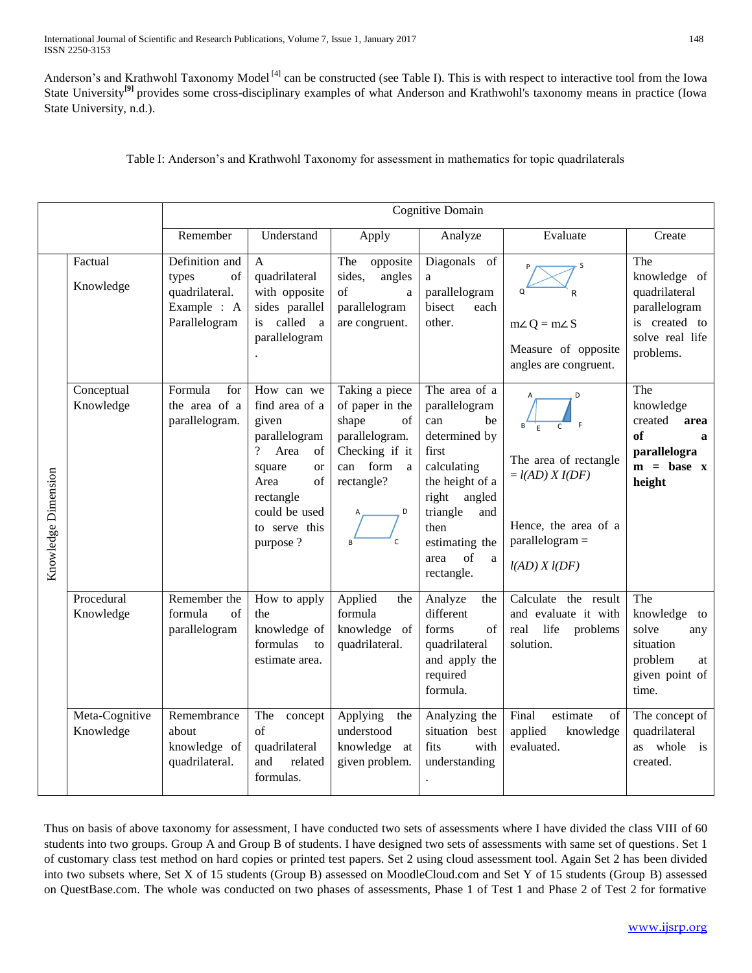Anderson's and Krathwohl Taxonomy Model<sup>[4]</sup> can be constructed (see Table I). This is with respect to interactive tool from the Iowa [State University](http://www.celt.iastate.edu/teaching/RevisedBlooms1.html)<sup>[9]</sup> provides some cross-disciplinary examples of what Anderson and Krathwohl's taxonomy means in practice (Iowa State University, n.d.).

Table I: Anderson's and Krathwohl Taxonomy for assessment in mathematics for topic quadrilaterals

|                     |                             | Cognitive Domain                                                                |                                                                                                                                                                            |                                                                                                                                            |                                                                                                                                                                                                       |                                                                                                                                                |                                                                                                        |
|---------------------|-----------------------------|---------------------------------------------------------------------------------|----------------------------------------------------------------------------------------------------------------------------------------------------------------------------|--------------------------------------------------------------------------------------------------------------------------------------------|-------------------------------------------------------------------------------------------------------------------------------------------------------------------------------------------------------|------------------------------------------------------------------------------------------------------------------------------------------------|--------------------------------------------------------------------------------------------------------|
|                     |                             | Remember                                                                        | Understand                                                                                                                                                                 | Apply                                                                                                                                      | Analyze                                                                                                                                                                                               | Evaluate                                                                                                                                       | Create                                                                                                 |
| Knowledge Dimension | Factual<br>Knowledge        | Definition and<br>of<br>types<br>quadrilateral.<br>Example : A<br>Parallelogram | $\overline{A}$<br>quadrilateral<br>with opposite<br>sides parallel<br>is called a<br>parallelogram                                                                         | The<br>opposite<br>sides,<br>angles<br>of<br>a<br>parallelogram<br>are congruent.                                                          | Diagonals of<br>a<br>parallelogram<br>bisect<br>each<br>other.                                                                                                                                        | P<br>S<br>Q<br>$m\angle Q = m\angle S$<br>Measure of opposite<br>angles are congruent.                                                         | The<br>knowledge of<br>quadrilateral<br>parallelogram<br>is created to<br>solve real life<br>problems. |
|                     | Conceptual<br>Knowledge     | Formula<br>for<br>the area of a<br>parallelogram.                               | How can we<br>find area of a<br>given<br>parallelogram<br>? Area<br>of<br>square<br><sub>or</sub><br>of<br>Area<br>rectangle<br>could be used<br>to serve this<br>purpose? | Taking a piece<br>of paper in the<br>shape<br>of<br>parallelogram.<br>Checking if it<br>can form a<br>rectangle?<br>D<br>$\mathsf{C}$<br>R | The area of a<br>parallelogram<br>can<br>be<br>determined by<br>first<br>calculating<br>the height of a<br>right angled<br>triangle<br>and<br>then<br>estimating the<br>of<br>area<br>a<br>rectangle. | Α<br>D<br>$\mathsf{C}$<br>The area of rectangle<br>$=$ $l(AD)$ $X$ $I(DF)$<br>Hence, the area of a<br>$parallelogram =$<br>$l(AD)$ $X$ $l(DF)$ | The<br>knowledge<br>created<br>area<br>of<br>$\mathbf{a}$<br>parallelogra<br>$m = base x$<br>height    |
|                     | Procedural<br>Knowledge     | Remember the<br>formula<br>of<br>parallelogram                                  | How to apply<br>the<br>knowledge of<br>formulas<br>to<br>estimate area.                                                                                                    | Applied<br>the<br>formula<br>knowledge of<br>quadrilateral.                                                                                | Analyze<br>the<br>different<br>forms<br>of<br>quadrilateral<br>and apply the<br>required<br>formula.                                                                                                  | Calculate the result<br>and evaluate it with<br>real<br>life<br>problems<br>solution.                                                          | The<br>knowledge<br>to<br>solve<br>any<br>situation<br>problem<br>at<br>given point of<br>time.        |
|                     | Meta-Cognitive<br>Knowledge | Remembrance<br>about<br>knowledge of<br>quadrilateral.                          | The<br>concept<br>of<br>quadrilateral<br>and<br>related<br>formulas.                                                                                                       | Applying<br>the<br>understood<br>knowledge at<br>given problem.                                                                            | Analyzing the<br>situation best<br>fits<br>with<br>understanding                                                                                                                                      | Final<br>estimate<br>of<br>applied<br>knowledge<br>evaluated.                                                                                  | The concept of<br>quadrilateral<br>as whole is<br>created.                                             |

Thus on basis of above taxonomy for assessment, I have conducted two sets of assessments where I have divided the class VIII of 60 students into two groups. Group A and Group B of students. I have designed two sets of assessments with same set of questions. Set 1 of customary class test method on hard copies or printed test papers. Set 2 using cloud assessment tool. Again Set 2 has been divided into two subsets where, Set X of 15 students (Group B) assessed on MoodleCloud.com and Set Y of 15 students (Group B) assessed on QuestBase.com. The whole was conducted on two phases of assessments, Phase 1 of Test 1 and Phase 2 of Test 2 for formative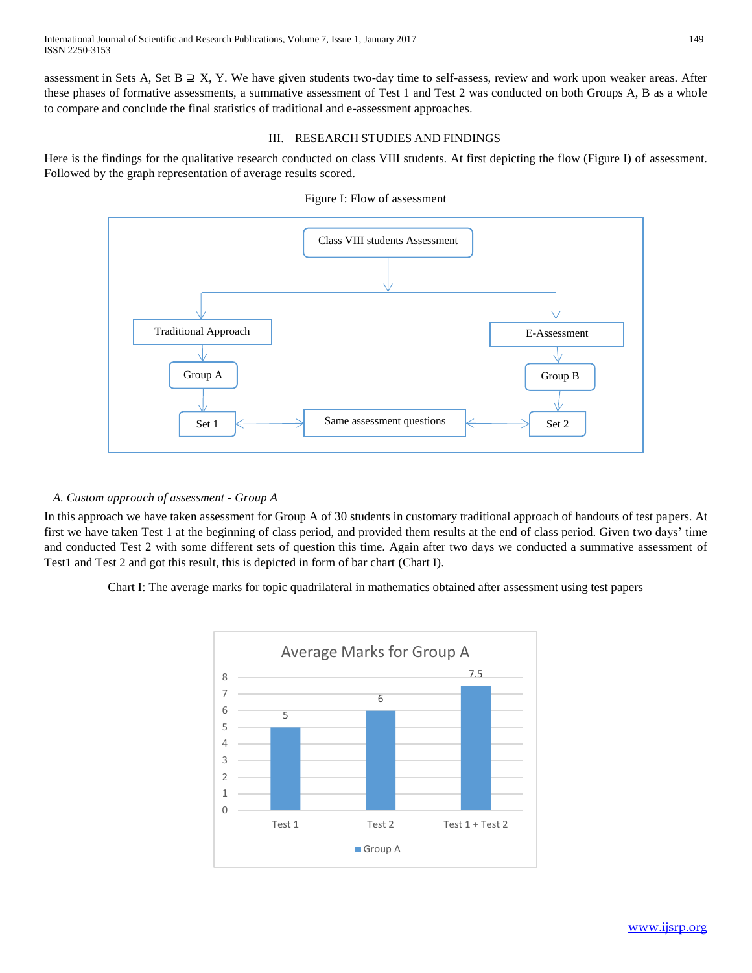assessment in Sets A, Set B  $\supseteq X$ , Y. We have given students two-day time to self-assess, review and work upon weaker areas. After these phases of formative assessments, a summative assessment of Test 1 and Test 2 was conducted on both Groups A, B as a whole to compare and conclude the final statistics of traditional and e-assessment approaches.

## III. RESEARCH STUDIES AND FINDINGS

Here is the findings for the qualitative research conducted on class VIII students. At first depicting the flow (Figure I) of assessment. Followed by the graph representation of average results scored.





## *A. Custom approach of assessment - Group A*

In this approach we have taken assessment for Group A of 30 students in customary traditional approach of handouts of test papers. At first we have taken Test 1 at the beginning of class period, and provided them results at the end of class period. Given two days' time and conducted Test 2 with some different sets of question this time. Again after two days we conducted a summative assessment of Test1 and Test 2 and got this result, this is depicted in form of bar chart (Chart I).

Chart I: The average marks for topic quadrilateral in mathematics obtained after assessment using test papers

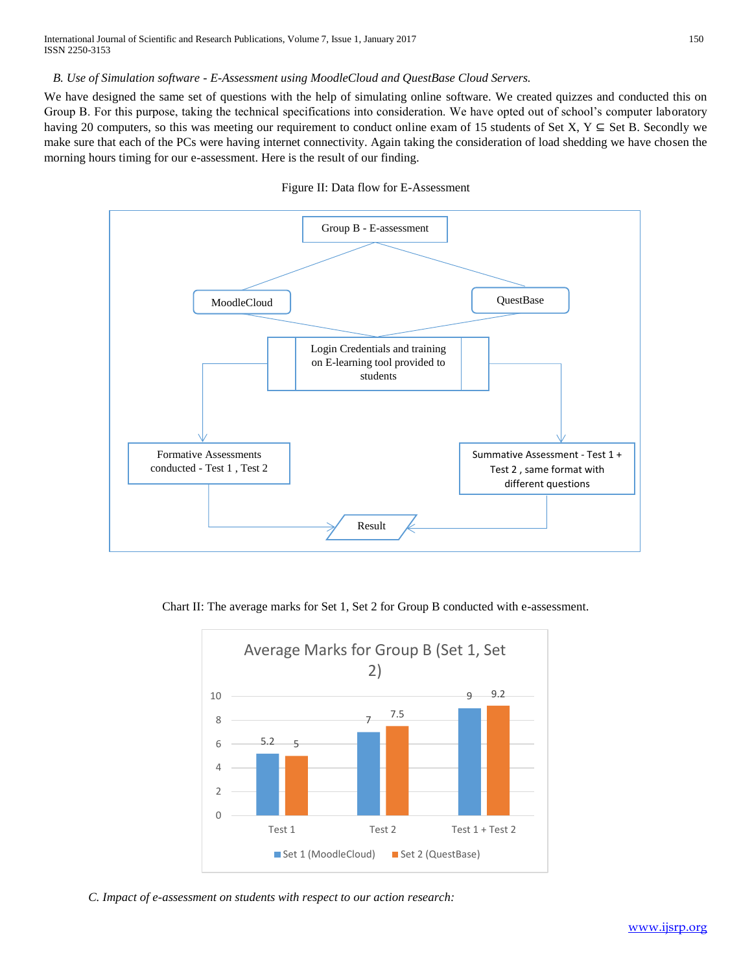### *B. Use of Simulation software - E-Assessment using MoodleCloud and QuestBase Cloud Servers.*

We have designed the same set of questions with the help of simulating online software. We created quizzes and conducted this on Group B. For this purpose, taking the technical specifications into consideration. We have opted out of school's computer laboratory having 20 computers, so this was meeting our requirement to conduct online exam of 15 students of Set X,  $Y \subseteq$  Set B. Secondly we make sure that each of the PCs were having internet connectivity. Again taking the consideration of load shedding we have chosen the morning hours timing for our e-assessment. Here is the result of our finding.





Chart II: The average marks for Set 1, Set 2 for Group B conducted with e-assessment.



*C. Impact of e-assessment on students with respect to our action research:*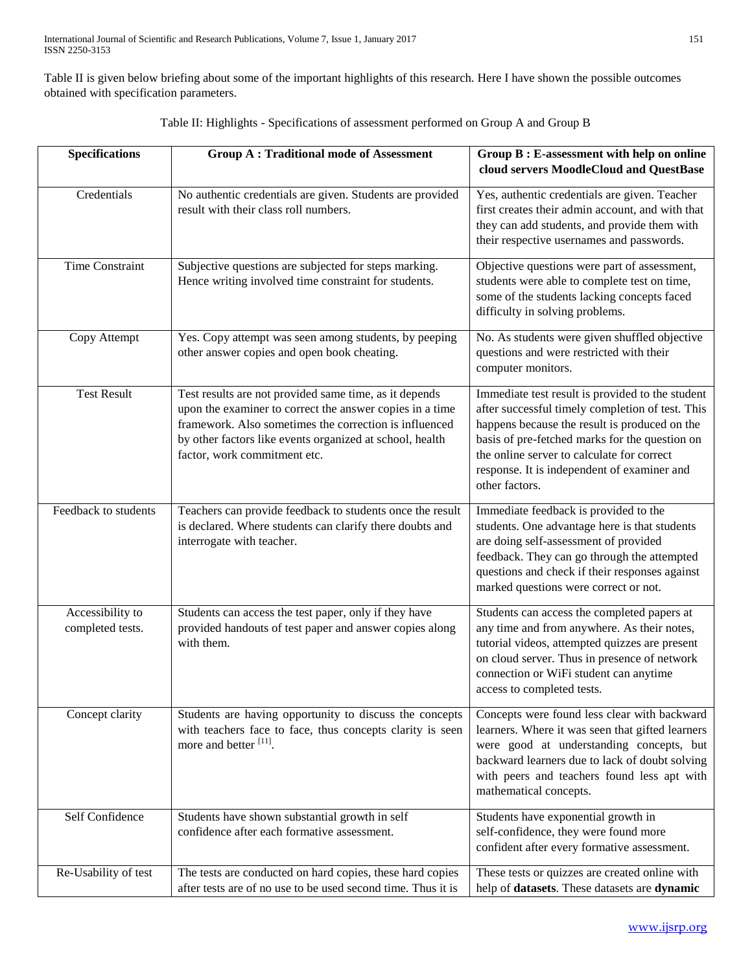Table II is given below briefing about some of the important highlights of this research. Here I have shown the possible outcomes obtained with specification parameters.

| <b>Specifications</b>                | <b>Group A: Traditional mode of Assessment</b>                                                                                                                                                                                                                           | Group B: E-assessment with help on online<br>cloud servers MoodleCloud and QuestBase                                                                                                                                                                                                                                   |
|--------------------------------------|--------------------------------------------------------------------------------------------------------------------------------------------------------------------------------------------------------------------------------------------------------------------------|------------------------------------------------------------------------------------------------------------------------------------------------------------------------------------------------------------------------------------------------------------------------------------------------------------------------|
| Credentials                          | No authentic credentials are given. Students are provided<br>result with their class roll numbers.                                                                                                                                                                       | Yes, authentic credentials are given. Teacher<br>first creates their admin account, and with that<br>they can add students, and provide them with<br>their respective usernames and passwords.                                                                                                                         |
| <b>Time Constraint</b>               | Subjective questions are subjected for steps marking.<br>Hence writing involved time constraint for students.                                                                                                                                                            | Objective questions were part of assessment,<br>students were able to complete test on time,<br>some of the students lacking concepts faced<br>difficulty in solving problems.                                                                                                                                         |
| Copy Attempt                         | Yes. Copy attempt was seen among students, by peeping<br>other answer copies and open book cheating.                                                                                                                                                                     | No. As students were given shuffled objective<br>questions and were restricted with their<br>computer monitors.                                                                                                                                                                                                        |
| <b>Test Result</b>                   | Test results are not provided same time, as it depends<br>upon the examiner to correct the answer copies in a time<br>framework. Also sometimes the correction is influenced<br>by other factors like events organized at school, health<br>factor, work commitment etc. | Immediate test result is provided to the student<br>after successful timely completion of test. This<br>happens because the result is produced on the<br>basis of pre-fetched marks for the question on<br>the online server to calculate for correct<br>response. It is independent of examiner and<br>other factors. |
| Feedback to students                 | Teachers can provide feedback to students once the result<br>is declared. Where students can clarify there doubts and<br>interrogate with teacher.                                                                                                                       | Immediate feedback is provided to the<br>students. One advantage here is that students<br>are doing self-assessment of provided<br>feedback. They can go through the attempted<br>questions and check if their responses against<br>marked questions were correct or not.                                              |
| Accessibility to<br>completed tests. | Students can access the test paper, only if they have<br>provided handouts of test paper and answer copies along<br>with them.                                                                                                                                           | Students can access the completed papers at<br>any time and from anywhere. As their notes,<br>tutorial videos, attempted quizzes are present<br>on cloud server. Thus in presence of network<br>connection or WiFi student can anytime<br>access to completed tests.                                                   |
| Concept clarity                      | Students are having opportunity to discuss the concepts<br>with teachers face to face, thus concepts clarity is seen<br>more and better [11].                                                                                                                            | Concepts were found less clear with backward<br>learners. Where it was seen that gifted learners<br>were good at understanding concepts, but<br>backward learners due to lack of doubt solving<br>with peers and teachers found less apt with<br>mathematical concepts.                                                |
| Self Confidence                      | Students have shown substantial growth in self<br>confidence after each formative assessment.                                                                                                                                                                            | Students have exponential growth in<br>self-confidence, they were found more<br>confident after every formative assessment.                                                                                                                                                                                            |
| Re-Usability of test                 | The tests are conducted on hard copies, these hard copies<br>after tests are of no use to be used second time. Thus it is                                                                                                                                                | These tests or quizzes are created online with<br>help of datasets. These datasets are dynamic                                                                                                                                                                                                                         |

|  | Table II: Highlights - Specifications of assessment performed on Group A and Group B |  |  |  |
|--|--------------------------------------------------------------------------------------|--|--|--|
|  |                                                                                      |  |  |  |
|  |                                                                                      |  |  |  |
|  |                                                                                      |  |  |  |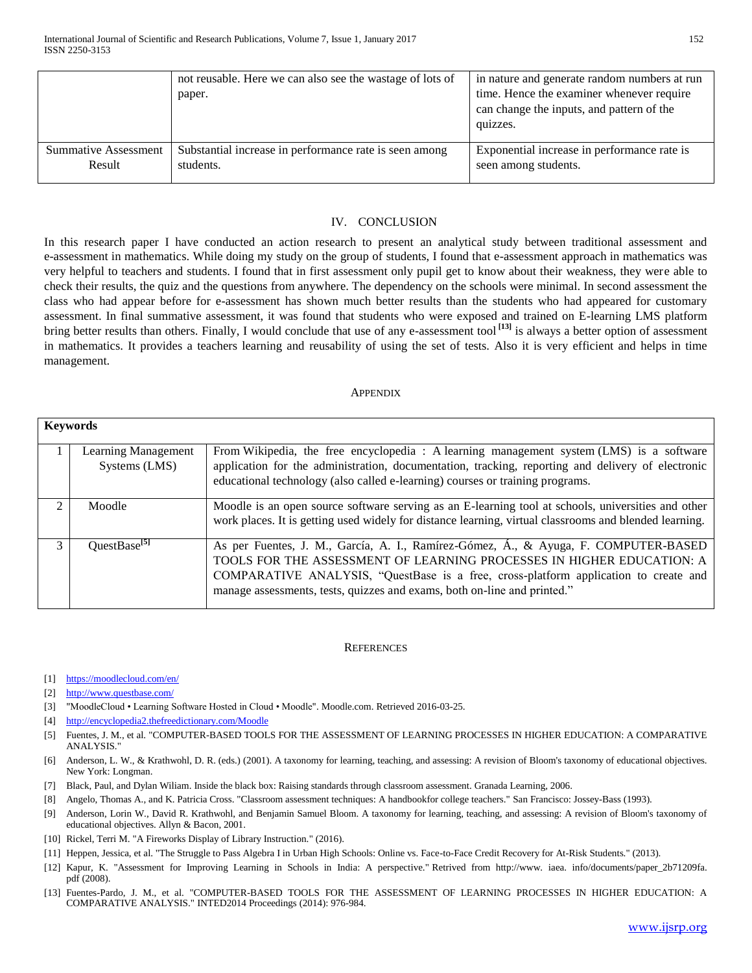|                             | not reusable. Here we can also see the wastage of lots of<br>paper. | in nature and generate random numbers at run<br>time. Hence the examiner whenever require<br>can change the inputs, and pattern of the<br>quizzes. |
|-----------------------------|---------------------------------------------------------------------|----------------------------------------------------------------------------------------------------------------------------------------------------|
| <b>Summative Assessment</b> | Substantial increase in performance rate is seen among              | Exponential increase in performance rate is                                                                                                        |
| Result                      | students.                                                           | seen among students.                                                                                                                               |

### IV. CONCLUSION

In this research paper I have conducted an action research to present an analytical study between traditional assessment and e-assessment in mathematics. While doing my study on the group of students, I found that e-assessment approach in mathematics was very helpful to teachers and students. I found that in first assessment only pupil get to know about their weakness, they were able to check their results, the quiz and the questions from anywhere. The dependency on the schools were minimal. In second assessment the class who had appear before for e-assessment has shown much better results than the students who had appeared for customary assessment. In final summative assessment, it was found that students who were exposed and trained on E-learning LMS platform bring better results than others. Finally, I would conclude that use of any e-assessment tool **[13]** is always a better option of assessment in mathematics. It provides a teachers learning and reusability of using the set of tests. Also it is very efficient and helps in time management.

#### **APPENDIX**

|                | <b>Keywords</b>                      |                                                                                                                                                                                                                                                                                                                                  |  |  |  |
|----------------|--------------------------------------|----------------------------------------------------------------------------------------------------------------------------------------------------------------------------------------------------------------------------------------------------------------------------------------------------------------------------------|--|--|--|
|                | Learning Management<br>Systems (LMS) | From Wikipedia, the free encyclopedia: A learning management system (LMS) is a software<br>application for the administration, documentation, tracking, reporting and delivery of electronic<br>educational technology (also called e-learning) courses or training programs.                                                    |  |  |  |
| $\mathfrak{D}$ | Moodle                               | Moodle is an open source software serving as an E-learning tool at schools, universities and other<br>work places. It is getting used widely for distance learning, virtual classrooms and blended learning.                                                                                                                     |  |  |  |
| 3              | QuestBase $^{[5]}$                   | As per Fuentes, J. M., García, A. I., Ramírez-Gómez, Á., & Ayuga, F. COMPUTER-BASED<br>TOOLS FOR THE ASSESSMENT OF LEARNING PROCESSES IN HIGHER EDUCATION: A<br>COMPARATIVE ANALYSIS, "QuestBase is a free, cross-platform application to create and<br>manage assessments, tests, quizzes and exams, both on-line and printed." |  |  |  |

#### **REFERENCES**

- [1] <https://moodlecloud.com/en/>
- [2] <http://www.questbase.com/>
- [3] "MoodleCloud Learning [Software Hosted in Cloud Moodle".](https://moodle.com/cloud) Moodle.com. Retrieved 2016-03-25.
- [4] <http://encyclopedia2.thefreedictionary.com/Moodle>
- [5] Fuentes, J. M., et al. "COMPUTER-BASED TOOLS FOR THE ASSESSMENT OF LEARNING PROCESSES IN HIGHER EDUCATION: A COMPARATIVE ANALYSIS.
- [6] Anderson, L. W., & Krathwohl, D. R. (eds.) (2001). A taxonomy for learning, teaching, and assessing: A revision of Bloom's taxonomy of educational objectives. New York: Longman.
- [7] Black, Paul, and Dylan Wiliam. Inside the black box: Raising standards through classroom assessment. Granada Learning, 2006.
- [8] Angelo, Thomas A., and K. Patricia Cross. "Classroom assessment techniques: A handbookfor college teachers." San Francisco: Jossey-Bass (1993).
- [9] Anderson, Lorin W., David R. Krathwohl, and Benjamin Samuel Bloom. A taxonomy for learning, teaching, and assessing: A revision of Bloom's taxonomy of educational objectives. Allyn & Bacon, 2001.
- [10] Rickel, Terri M. "A Fireworks Display of Library Instruction." (2016).
- [11] Heppen, Jessica, et al. "The Struggle to Pass Algebra I in Urban High Schools: Online vs. Face-to-Face Credit Recovery for At-Risk Students." (2013).
- [12] Kapur, K. "Assessment for Improving Learning in Schools in India: A perspective." Retrived from http://www. iaea. info/documents/paper\_2b71209fa. pdf (2008).
- [13] Fuentes-Pardo, J. M., et al. "COMPUTER-BASED TOOLS FOR THE ASSESSMENT OF LEARNING PROCESSES IN HIGHER EDUCATION: A COMPARATIVE ANALYSIS." INTED2014 Proceedings (2014): 976-984.